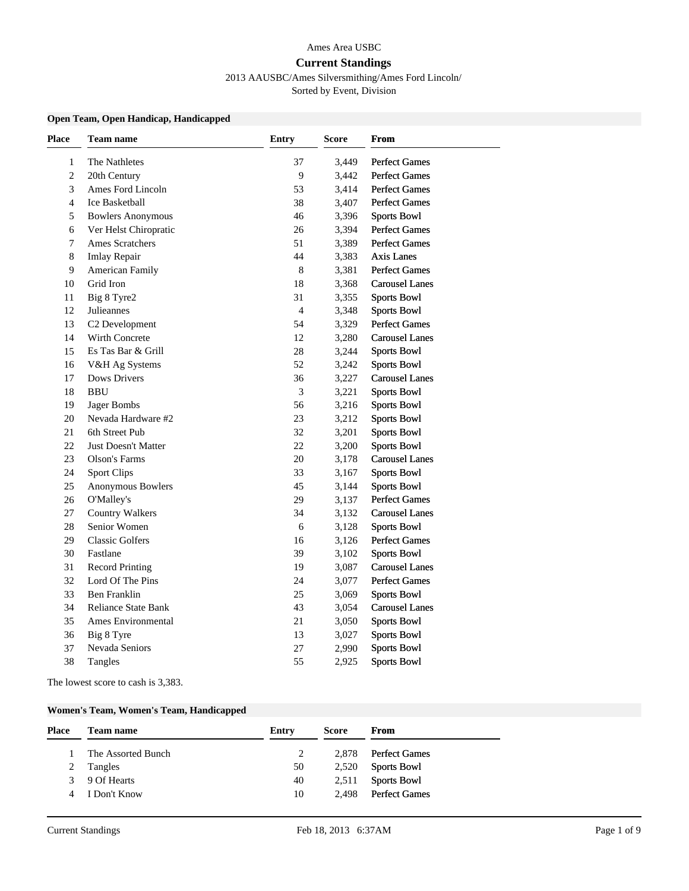#### Ames Area USBC

#### **Current Standings**

2013 AAUSBC/Ames Silversmithing/Ames Ford Lincoln/

Sorted by Event, Division

### **Open Team, Open Handicap, Handicapped**

| <b>Place</b>   | Team name                  | Entry          | Score | From                  |
|----------------|----------------------------|----------------|-------|-----------------------|
| $\mathbf{1}$   | The Nathletes              | 37             | 3,449 | <b>Perfect Games</b>  |
| $\overline{c}$ | 20th Century               | 9              | 3,442 | <b>Perfect Games</b>  |
| 3              | Ames Ford Lincoln          | 53             | 3,414 | Perfect Games         |
| $\overline{4}$ | Ice Basketball             | 38             | 3,407 | <b>Perfect Games</b>  |
| 5              | <b>Bowlers Anonymous</b>   | 46             | 3,396 | <b>Sports Bowl</b>    |
| 6              | Ver Helst Chiropratic      | 26             | 3,394 | <b>Perfect Games</b>  |
| 7              | Ames Scratchers            | 51             | 3,389 | <b>Perfect Games</b>  |
| 8              | <b>Imlay Repair</b>        | 44             | 3,383 | <b>Axis Lanes</b>     |
| 9              | <b>American Family</b>     | $\,$ 8 $\,$    | 3,381 | <b>Perfect Games</b>  |
| 10             | Grid Iron                  | $18\,$         | 3,368 | <b>Carousel Lanes</b> |
| 11             | Big 8 Tyre2                | 31             | 3,355 | <b>Sports Bowl</b>    |
| 12             | Julieannes                 | $\overline{4}$ | 3,348 | <b>Sports Bowl</b>    |
| 13             | C2 Development             | 54             | 3,329 | <b>Perfect Games</b>  |
| 14             | Wirth Concrete             | 12             | 3,280 | <b>Carousel Lanes</b> |
| 15             | Es Tas Bar & Grill         | 28             | 3,244 | <b>Sports Bowl</b>    |
| 16             | V&H Ag Systems             | 52             | 3,242 | <b>Sports Bowl</b>    |
| 17             | <b>Dows Drivers</b>        | 36             | 3,227 | <b>Carousel Lanes</b> |
| 18             | <b>BBU</b>                 | 3              | 3,221 | <b>Sports Bowl</b>    |
| 19             | Jager Bombs                | 56             | 3,216 | <b>Sports Bowl</b>    |
| 20             | Nevada Hardware #2         | 23             | 3,212 | <b>Sports Bowl</b>    |
| 21             | 6th Street Pub             | 32             | 3,201 | <b>Sports Bowl</b>    |
| 22             | <b>Just Doesn't Matter</b> | 22             | 3,200 | <b>Sports Bowl</b>    |
| 23             | Olson's Farms              | 20             | 3,178 | <b>Carousel Lanes</b> |
| 24             | <b>Sport Clips</b>         | 33             | 3,167 | <b>Sports Bowl</b>    |
| 25             | Anonymous Bowlers          | 45             | 3,144 | <b>Sports Bowl</b>    |
| 26             | O'Malley's                 | 29             | 3,137 | <b>Perfect Games</b>  |
| 27             | <b>Country Walkers</b>     | 34             | 3,132 | <b>Carousel Lanes</b> |
| 28             | Senior Women               | 6              | 3,128 | <b>Sports Bowl</b>    |
| 29             | <b>Classic Golfers</b>     | 16             | 3,126 | <b>Perfect Games</b>  |
| 30             | Fastlane                   | 39             | 3,102 | <b>Sports Bowl</b>    |
| 31             | <b>Record Printing</b>     | 19             | 3,087 | <b>Carousel Lanes</b> |
| 32             | Lord Of The Pins           | 24             | 3,077 | <b>Perfect Games</b>  |
| 33             | Ben Franklin               | 25             | 3,069 | <b>Sports Bowl</b>    |
| 34             | <b>Reliance State Bank</b> | 43             | 3,054 | <b>Carousel Lanes</b> |
| 35             | Ames Environmental         | 21             | 3,050 | <b>Sports Bowl</b>    |
| 36             | Big 8 Tyre                 | 13             | 3,027 | <b>Sports Bowl</b>    |
| 37             | Nevada Seniors             | 27             | 2,990 | <b>Sports Bowl</b>    |
| 38             | Tangles                    | 55             | 2,925 | <b>Sports Bowl</b>    |

The lowest score to cash is 3,383.

### **Women's Team, Women's Team, Handicapped**

| Place | Team name          | Entry | <b>Score</b> | From                |
|-------|--------------------|-------|--------------|---------------------|
|       | The Assorted Bunch |       |              | 2,878 Perfect Games |
|       | Tangles            | 50    |              | 2,520 Sports Bowl   |
|       | 3 9 Of Hearts      | 40    |              | 2,511 Sports Bowl   |
| 4     | I Don't Know       | 10    |              | 2.498 Perfect Games |
|       |                    |       |              |                     |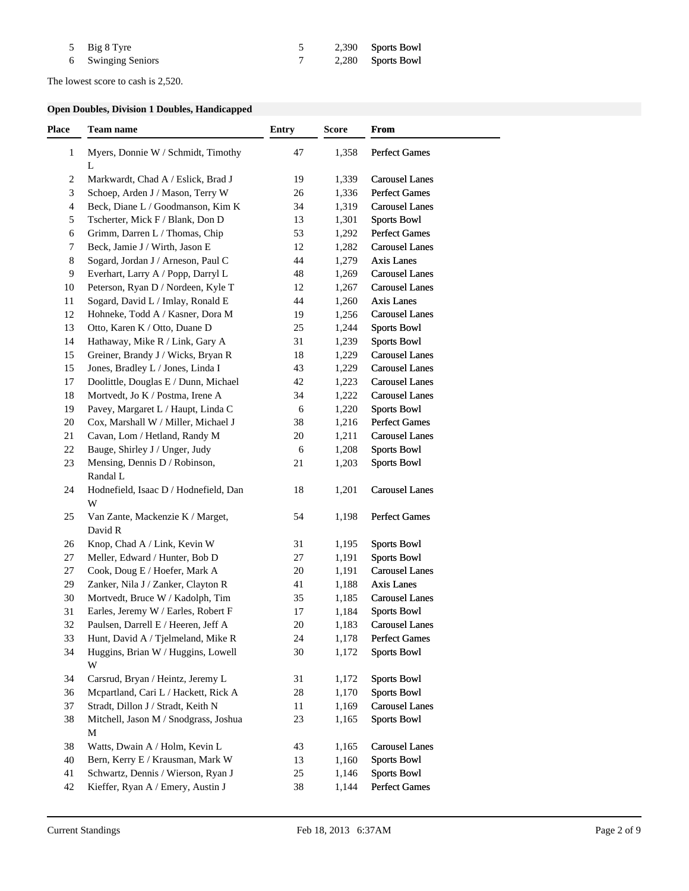| 5 Big 8 Tyre       |  | 2,390 Sports Bowl |
|--------------------|--|-------------------|
| 6 Swinging Seniors |  | 2,280 Sports Bowl |

The lowest score to cash is 2,520.

# **Open Doubles, Division 1 Doubles, Handicapped**

| <b>Place</b>   | Team name                                   | <b>Entry</b> | <b>Score</b> | <b>From</b>           |
|----------------|---------------------------------------------|--------------|--------------|-----------------------|
| $\mathbf{1}$   | Myers, Donnie W / Schmidt, Timothy<br>L     | 47           | 1,358        | <b>Perfect Games</b>  |
| $\overline{c}$ | Markwardt, Chad A / Eslick, Brad J          | 19           | 1,339        | <b>Carousel Lanes</b> |
| 3              | Schoep, Arden J / Mason, Terry W            | 26           | 1,336        | <b>Perfect Games</b>  |
| $\overline{4}$ | Beck, Diane L / Goodmanson, Kim K           | 34           | 1,319        | <b>Carousel Lanes</b> |
| 5              | Tscherter, Mick F / Blank, Don D            | 13           | 1,301        | <b>Sports Bowl</b>    |
| 6              | Grimm, Darren L / Thomas, Chip              | 53           | 1,292        | <b>Perfect Games</b>  |
| $\tau$         | Beck, Jamie J / Wirth, Jason E              | 12           | 1,282        | <b>Carousel Lanes</b> |
| 8              | Sogard, Jordan J / Arneson, Paul C          | 44           | 1,279        | Axis Lanes            |
| $\overline{9}$ | Everhart, Larry A / Popp, Darryl L          | 48           | 1,269        | <b>Carousel Lanes</b> |
| 10             | Peterson, Ryan D / Nordeen, Kyle T          | 12           | 1,267        | <b>Carousel Lanes</b> |
| 11             | Sogard, David L / Imlay, Ronald E           | 44           | 1,260        | Axis Lanes            |
| 12             | Hohneke, Todd A / Kasner, Dora M            | 19           | 1,256        | <b>Carousel Lanes</b> |
| 13             | Otto, Karen K / Otto, Duane D               | 25           | 1,244        | <b>Sports Bowl</b>    |
| 14             | Hathaway, Mike R / Link, Gary A             | 31           | 1,239        | <b>Sports Bowl</b>    |
| 15             | Greiner, Brandy J / Wicks, Bryan R          | 18           | 1,229        | <b>Carousel Lanes</b> |
| 15             | Jones, Bradley L / Jones, Linda I           | 43           | 1,229        | <b>Carousel Lanes</b> |
| 17             | Doolittle, Douglas E / Dunn, Michael        | 42           | 1,223        | <b>Carousel Lanes</b> |
| 18             | Mortvedt, Jo K / Postma, Irene A            | 34           | 1,222        | <b>Carousel Lanes</b> |
|                |                                             |              |              |                       |
| 19             | Pavey, Margaret L / Haupt, Linda C          | 6            | 1,220        | <b>Sports Bowl</b>    |
| 20             | Cox, Marshall W / Miller, Michael J         | 38           | 1,216        | <b>Perfect Games</b>  |
| 21             | Cavan, Lom / Hetland, Randy M               | 20           | 1,211        | <b>Carousel Lanes</b> |
| 22             | Bauge, Shirley J / Unger, Judy              | 6            | 1,208        | <b>Sports Bowl</b>    |
| 23             | Mensing, Dennis D / Robinson,<br>Randal L   | 21           | 1,203        | <b>Sports Bowl</b>    |
| 24             | Hodnefield, Isaac D / Hodnefield, Dan<br>W  | 18           | 1,201        | <b>Carousel Lanes</b> |
| 25             | Van Zante, Mackenzie K / Marget,<br>David R | 54           | 1,198        | <b>Perfect Games</b>  |
| 26             | Knop, Chad A / Link, Kevin W                | 31           | 1,195        | <b>Sports Bowl</b>    |
| 27             | Meller, Edward / Hunter, Bob D              | 27           | 1,191        | <b>Sports Bowl</b>    |
| 27             | Cook, Doug E / Hoefer, Mark A               | 20           | 1,191        | <b>Carousel Lanes</b> |
| 29             | Zanker, Nila J / Zanker, Clayton R          | 41           | 1,188        | Axis Lanes            |
| 30             | Mortvedt, Bruce W / Kadolph, Tim            | 35           | 1,185        | <b>Carousel Lanes</b> |
| 31             | Earles, Jeremy W / Earles, Robert F         | 17           | 1,184        | <b>Sports Bowl</b>    |
| 32             | Paulsen, Darrell E / Heeren, Jeff A         | $20\,$       | 1,183        | <b>Carousel Lanes</b> |
| 33             | Hunt, David A / Tjelmeland, Mike R          | 24           | 1,178        | <b>Perfect Games</b>  |
| 34             | Huggins, Brian W / Huggins, Lowell<br>W     | 30           | 1,172        | <b>Sports Bowl</b>    |
| 34             | Carsrud, Bryan / Heintz, Jeremy L           | 31           | 1,172        | <b>Sports Bowl</b>    |
| 36             | Mcpartland, Cari L / Hackett, Rick A        | $28\,$       | 1,170        | <b>Sports Bowl</b>    |
| 37             | Stradt, Dillon J / Stradt, Keith N          | 11           | 1,169        | <b>Carousel Lanes</b> |
| 38             | Mitchell, Jason M / Snodgrass, Joshua       | 23           | 1,165        | <b>Sports Bowl</b>    |
|                | M                                           |              |              |                       |
| 38             | Watts, Dwain A / Holm, Kevin L              | 43           | 1,165        | <b>Carousel Lanes</b> |
| 40             | Bern, Kerry E / Krausman, Mark W            | 13           | 1,160        | <b>Sports Bowl</b>    |
| 41             | Schwartz, Dennis / Wierson, Ryan J          | 25           | 1,146        | <b>Sports Bowl</b>    |
| 42             | Kieffer, Ryan A / Emery, Austin J           | 38           | 1,144        | Perfect Games         |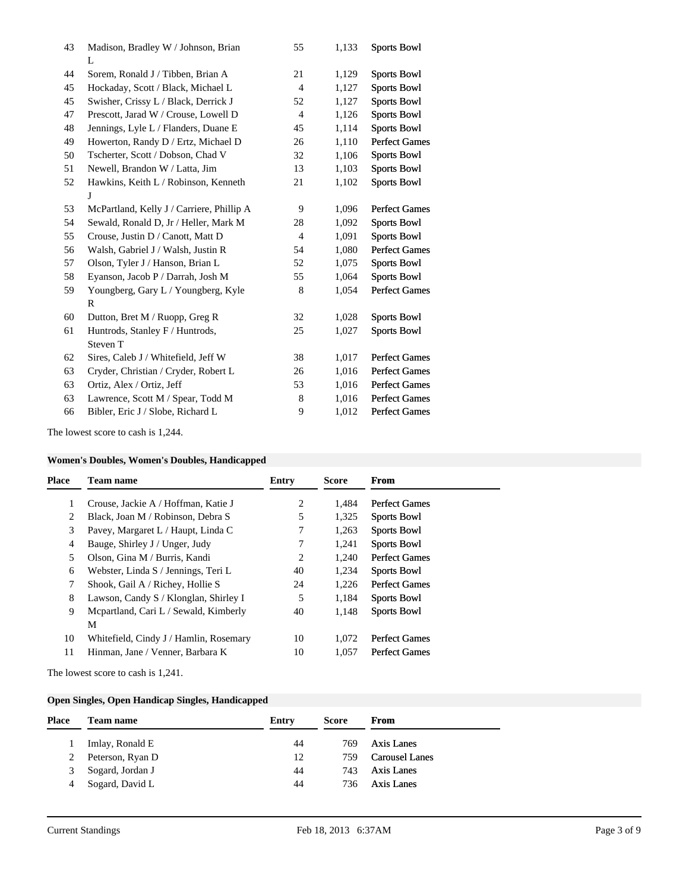| 43 | Madison, Bradley W / Johnson, Brian       | 55 | 1,133 | <b>Sports Bowl</b>   |
|----|-------------------------------------------|----|-------|----------------------|
|    | L                                         |    |       |                      |
| 44 | Sorem, Ronald J / Tibben, Brian A         | 21 | 1,129 | <b>Sports Bowl</b>   |
| 45 | Hockaday, Scott / Black, Michael L        | 4  | 1,127 | <b>Sports Bowl</b>   |
| 45 | Swisher, Crissy L / Black, Derrick J      | 52 | 1,127 | <b>Sports Bowl</b>   |
| 47 | Prescott, Jarad W / Crouse, Lowell D      | 4  | 1,126 | <b>Sports Bowl</b>   |
| 48 | Jennings, Lyle L / Flanders, Duane E      | 45 | 1,114 | <b>Sports Bowl</b>   |
| 49 | Howerton, Randy D / Ertz, Michael D       | 26 | 1,110 | <b>Perfect Games</b> |
| 50 | Tscherter, Scott / Dobson, Chad V         | 32 | 1,106 | <b>Sports Bowl</b>   |
| 51 | Newell, Brandon W / Latta, Jim            | 13 | 1,103 | <b>Sports Bowl</b>   |
| 52 | Hawkins, Keith L / Robinson, Kenneth      | 21 | 1,102 | <b>Sports Bowl</b>   |
|    | J                                         |    |       |                      |
| 53 | McPartland, Kelly J / Carriere, Phillip A | 9  | 1,096 | <b>Perfect Games</b> |
| 54 | Sewald, Ronald D, Jr / Heller, Mark M     | 28 | 1,092 | <b>Sports Bowl</b>   |
| 55 | Crouse, Justin D / Canott, Matt D         | 4  | 1,091 | <b>Sports Bowl</b>   |
| 56 | Walsh, Gabriel J / Walsh, Justin R        | 54 | 1,080 | <b>Perfect Games</b> |
| 57 | Olson, Tyler J / Hanson, Brian L          | 52 | 1,075 | <b>Sports Bowl</b>   |
| 58 | Eyanson, Jacob P / Darrah, Josh M         | 55 | 1,064 | <b>Sports Bowl</b>   |
| 59 | Youngberg, Gary L / Youngberg, Kyle       | 8  | 1,054 | <b>Perfect Games</b> |
|    | R                                         |    |       |                      |
| 60 | Dutton, Bret M / Ruopp, Greg R            | 32 | 1,028 | <b>Sports Bowl</b>   |
| 61 | Huntrods, Stanley F / Huntrods,           | 25 | 1,027 | <b>Sports Bowl</b>   |
|    | Steven T                                  |    |       |                      |
| 62 | Sires, Caleb J / Whitefield, Jeff W       | 38 | 1,017 | <b>Perfect Games</b> |
| 63 | Cryder, Christian / Cryder, Robert L      | 26 | 1,016 | <b>Perfect Games</b> |
| 63 | Ortiz, Alex / Ortiz, Jeff                 | 53 | 1,016 | <b>Perfect Games</b> |
| 63 | Lawrence, Scott M / Spear, Todd M         | 8  | 1,016 | <b>Perfect Games</b> |
| 66 | Bibler, Eric J / Slobe, Richard L         | 9  | 1,012 | <b>Perfect Games</b> |

The lowest score to cash is 1,244.

# **Women's Doubles, Women's Doubles, Handicapped**

| <b>Place</b> | Team name                              | Entry | Score | From                 |
|--------------|----------------------------------------|-------|-------|----------------------|
|              | Crouse, Jackie A / Hoffman, Katie J    | 2     | 1.484 | <b>Perfect Games</b> |
| 2            | Black, Joan M / Robinson, Debra S      | 5     | 1,325 | <b>Sports Bowl</b>   |
| 3            | Pavey, Margaret L / Haupt, Linda C     |       | 1,263 | <b>Sports Bowl</b>   |
| 4            | Bauge, Shirley J / Unger, Judy         | 7     | 1,241 | <b>Sports Bowl</b>   |
| 5            | Olson, Gina M / Burris, Kandi          | 2     | 1.240 | <b>Perfect Games</b> |
| 6            | Webster, Linda S / Jennings, Teri L    | 40    | 1.234 | <b>Sports Bowl</b>   |
| 7            | Shook, Gail A / Richey, Hollie S       | 24    | 1.226 | <b>Perfect Games</b> |
| 8            | Lawson, Candy S / Klonglan, Shirley I  | 5     | 1,184 | <b>Sports Bowl</b>   |
| 9            | Mcpartland, Cari L / Sewald, Kimberly  | 40    | 1,148 | <b>Sports Bowl</b>   |
|              | М                                      |       |       |                      |
| 10           | Whitefield, Cindy J / Hamlin, Rosemary | 10    | 1.072 | <b>Perfect Games</b> |
| 11           | Hinman, Jane / Venner, Barbara K       | 10    | 1,057 | Perfect Games        |
|              |                                        |       |       |                      |

The lowest score to cash is 1,241.

### **Open Singles, Open Handicap Singles, Handicapped**

| <b>Place</b> | Team name        | Entry | Score | From                  |
|--------------|------------------|-------|-------|-----------------------|
|              | Imlay, Ronald E  | 44    | 769   | Axis Lanes            |
| 2            | Peterson, Ryan D | 12    | 759.  | <b>Carousel Lanes</b> |
| 3            | Sogard, Jordan J | 44    | 743   | Axis Lanes            |
| 4            | Sogard, David L  | 44    | 736   | Axis Lanes            |
|              |                  |       |       |                       |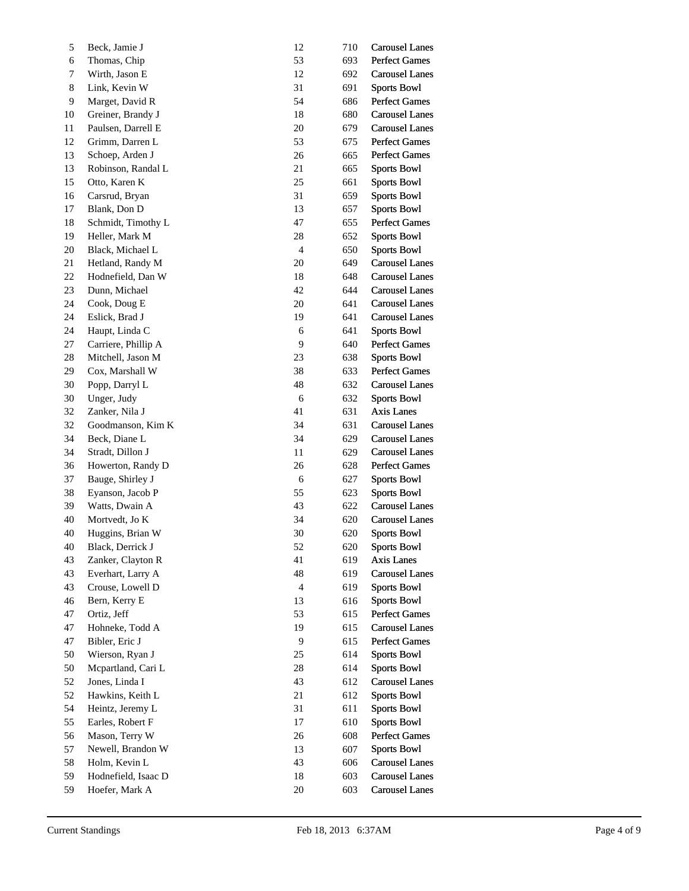| 5  | Beck, Jamie J       | 12             | 710 | <b>Carousel Lanes</b> |
|----|---------------------|----------------|-----|-----------------------|
| 6  | Thomas, Chip        | 53             | 693 | <b>Perfect Games</b>  |
| 7  | Wirth, Jason E      | 12             | 692 | <b>Carousel Lanes</b> |
| 8  | Link, Kevin W       | 31             | 691 | <b>Sports Bowl</b>    |
| 9  | Marget, David R     | 54             | 686 | Perfect Games         |
| 10 | Greiner, Brandy J   | 18             | 680 | <b>Carousel Lanes</b> |
| 11 | Paulsen, Darrell E  | 20             | 679 | <b>Carousel Lanes</b> |
| 12 | Grimm, Darren L     | 53             | 675 | <b>Perfect Games</b>  |
| 13 | Schoep, Arden J     | 26             | 665 | Perfect Games         |
| 13 | Robinson, Randal L  | 21             | 665 | <b>Sports Bowl</b>    |
| 15 | Otto, Karen K       | 25             | 661 | <b>Sports Bowl</b>    |
| 16 | Carsrud, Bryan      | 31             | 659 | <b>Sports Bowl</b>    |
| 17 | Blank, Don D        | 13             | 657 | <b>Sports Bowl</b>    |
| 18 | Schmidt, Timothy L  | 47             | 655 | <b>Perfect Games</b>  |
| 19 | Heller, Mark M      | 28             | 652 | <b>Sports Bowl</b>    |
| 20 | Black, Michael L    | $\overline{4}$ | 650 | <b>Sports Bowl</b>    |
| 21 | Hetland, Randy M    | 20             | 649 | <b>Carousel Lanes</b> |
| 22 | Hodnefield, Dan W   | 18             | 648 | <b>Carousel Lanes</b> |
| 23 | Dunn, Michael       | 42             | 644 | <b>Carousel Lanes</b> |
| 24 | Cook, Doug E        | 20             | 641 | <b>Carousel Lanes</b> |
| 24 | Eslick, Brad J      | 19             | 641 | <b>Carousel Lanes</b> |
| 24 | Haupt, Linda C      | 6              | 641 | <b>Sports Bowl</b>    |
| 27 | Carriere, Phillip A | 9              | 640 | Perfect Games         |
| 28 | Mitchell, Jason M   | 23             | 638 | <b>Sports Bowl</b>    |
| 29 | Cox, Marshall W     | 38             | 633 | Perfect Games         |
| 30 | Popp, Darryl L      | 48             | 632 | <b>Carousel Lanes</b> |
| 30 | Unger, Judy         | 6              | 632 | <b>Sports Bowl</b>    |
| 32 | Zanker, Nila J      | 41             | 631 | Axis Lanes            |
| 32 | Goodmanson, Kim K   | 34             | 631 | <b>Carousel Lanes</b> |
| 34 | Beck, Diane L       | 34             | 629 | <b>Carousel Lanes</b> |
| 34 | Stradt, Dillon J    | 11             | 629 | <b>Carousel Lanes</b> |
| 36 | Howerton, Randy D   | 26             | 628 | Perfect Games         |
| 37 | Bauge, Shirley J    | 6              | 627 | <b>Sports Bowl</b>    |
| 38 | Eyanson, Jacob P    | 55             | 623 | <b>Sports Bowl</b>    |
| 39 | Watts, Dwain A      | 43             | 622 | <b>Carousel Lanes</b> |
| 40 | Mortvedt, Jo K      | 34             | 620 | <b>Carousel Lanes</b> |
| 40 | Huggins, Brian W    | 30             | 620 | <b>Sports Bowl</b>    |
| 40 | Black, Derrick J    | 52             | 620 | <b>Sports Bowl</b>    |
| 43 | Zanker, Clayton R   | 41             | 619 | Axis Lanes            |
| 43 | Everhart, Larry A   | 48             | 619 | <b>Carousel Lanes</b> |
| 43 | Crouse, Lowell D    | $\overline{4}$ | 619 | <b>Sports Bowl</b>    |
| 46 | Bern, Kerry E       | 13             | 616 | <b>Sports Bowl</b>    |
| 47 | Ortiz, Jeff         | 53             | 615 | Perfect Games         |
| 47 | Hohneke, Todd A     | 19             | 615 | <b>Carousel Lanes</b> |
| 47 | Bibler, Eric J      | 9              | 615 | <b>Perfect Games</b>  |
| 50 | Wierson, Ryan J     | 25             | 614 | <b>Sports Bowl</b>    |
| 50 | Mcpartland, Cari L  | 28             | 614 | <b>Sports Bowl</b>    |
| 52 | Jones, Linda I      | 43             | 612 | <b>Carousel Lanes</b> |
| 52 | Hawkins, Keith L    | 21             | 612 | <b>Sports Bowl</b>    |
| 54 | Heintz, Jeremy L    | 31             | 611 | <b>Sports Bowl</b>    |
| 55 | Earles, Robert F    | 17             | 610 | <b>Sports Bowl</b>    |
| 56 | Mason, Terry W      | 26             | 608 | Perfect Games         |
| 57 | Newell, Brandon W   | 13             | 607 | <b>Sports Bowl</b>    |
| 58 | Holm, Kevin L       | 43             | 606 | <b>Carousel Lanes</b> |
| 59 | Hodnefield, Isaac D | 18             | 603 | <b>Carousel Lanes</b> |
| 59 | Hoefer, Mark A      | 20             | 603 | <b>Carousel Lanes</b> |
|    |                     |                |     |                       |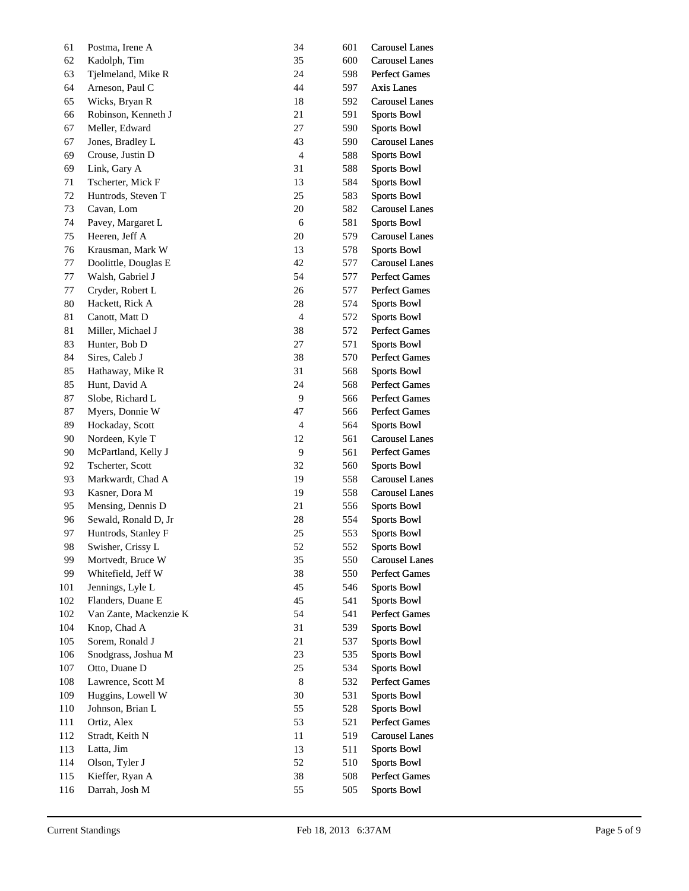| 61  | Postma, Irene A        | 34             | 601 | <b>Carousel Lanes</b> |
|-----|------------------------|----------------|-----|-----------------------|
| 62  | Kadolph, Tim           | 35             | 600 | <b>Carousel Lanes</b> |
| 63  | Tjelmeland, Mike R     | 24             | 598 | Perfect Games         |
| 64  | Arneson, Paul C        | 44             | 597 | Axis Lanes            |
| 65  | Wicks, Bryan R         | 18             | 592 | <b>Carousel Lanes</b> |
| 66  | Robinson, Kenneth J    | 21             | 591 | <b>Sports Bowl</b>    |
| 67  | Meller, Edward         | 27             | 590 | <b>Sports Bowl</b>    |
| 67  | Jones, Bradley L       | 43             | 590 | <b>Carousel Lanes</b> |
| 69  | Crouse, Justin D       | $\overline{4}$ | 588 | <b>Sports Bowl</b>    |
| 69  | Link, Gary A           | 31             | 588 | <b>Sports Bowl</b>    |
| 71  | Tscherter, Mick F      | 13             | 584 | <b>Sports Bowl</b>    |
| 72  | Huntrods, Steven T     | 25             | 583 | <b>Sports Bowl</b>    |
| 73  | Cavan, Lom             | 20             | 582 | <b>Carousel Lanes</b> |
| 74  | Pavey, Margaret L      | 6              | 581 | <b>Sports Bowl</b>    |
| 75  | Heeren, Jeff A         | 20             | 579 | <b>Carousel Lanes</b> |
| 76  | Krausman, Mark W       | 13             | 578 | <b>Sports Bowl</b>    |
| 77  | Doolittle, Douglas E   | 42             | 577 | <b>Carousel Lanes</b> |
| 77  | Walsh, Gabriel J       | 54             | 577 | <b>Perfect Games</b>  |
| 77  | Cryder, Robert L       | 26             | 577 | Perfect Games         |
| 80  | Hackett, Rick A        | 28             | 574 | <b>Sports Bowl</b>    |
| 81  | Canott, Matt D         | $\overline{4}$ | 572 | <b>Sports Bowl</b>    |
| 81  | Miller, Michael J      | 38             | 572 | Perfect Games         |
| 83  | Hunter, Bob D          | 27             | 571 | <b>Sports Bowl</b>    |
| 84  | Sires, Caleb J         | 38             | 570 | Perfect Games         |
| 85  | Hathaway, Mike R       | 31             | 568 | <b>Sports Bowl</b>    |
| 85  | Hunt, David A          | 24             | 568 | <b>Perfect Games</b>  |
| 87  | Slobe, Richard L       | 9              | 566 | <b>Perfect Games</b>  |
| 87  | Myers, Donnie W        | 47             | 566 | Perfect Games         |
| 89  | Hockaday, Scott        | $\overline{4}$ | 564 | <b>Sports Bowl</b>    |
| 90  | Nordeen, Kyle T        | 12             | 561 | <b>Carousel Lanes</b> |
| 90  | McPartland, Kelly J    | 9              | 561 | Perfect Games         |
| 92  | Tscherter, Scott       | 32             | 560 | <b>Sports Bowl</b>    |
| 93  | Markwardt, Chad A      | 19             | 558 | <b>Carousel Lanes</b> |
| 93  | Kasner, Dora M         | 19             | 558 | <b>Carousel Lanes</b> |
| 95  | Mensing, Dennis D      | 21             | 556 | <b>Sports Bowl</b>    |
| 96  | Sewald, Ronald D, Jr   | 28             | 554 | <b>Sports Bowl</b>    |
| 97  | Huntrods, Stanley F    | 25             | 553 | <b>Sports Bowl</b>    |
| 98  | Swisher, Crissy L      | 52             | 552 | <b>Sports Bowl</b>    |
| 99  | Mortvedt, Bruce W      | 35             | 550 | <b>Carousel Lanes</b> |
| 99  | Whitefield, Jeff W     | 38             | 550 | Perfect Games         |
| 101 | Jennings, Lyle L       | 45             | 546 | <b>Sports Bowl</b>    |
| 102 | Flanders, Duane E      | 45             | 541 | <b>Sports Bowl</b>    |
| 102 | Van Zante, Mackenzie K | 54             | 541 | <b>Perfect Games</b>  |
| 104 | Knop, Chad A           | 31             | 539 | <b>Sports Bowl</b>    |
| 105 | Sorem, Ronald J        | 21             | 537 | <b>Sports Bowl</b>    |
| 106 | Snodgrass, Joshua M    | 23             | 535 | <b>Sports Bowl</b>    |
| 107 | Otto, Duane D          | 25             | 534 | <b>Sports Bowl</b>    |
| 108 | Lawrence, Scott M      | $\,8\,$        | 532 | <b>Perfect Games</b>  |
| 109 | Huggins, Lowell W      | 30             | 531 | <b>Sports Bowl</b>    |
| 110 | Johnson, Brian L       | 55             | 528 | <b>Sports Bowl</b>    |
| 111 | Ortiz, Alex            | 53             | 521 | <b>Perfect Games</b>  |
| 112 | Stradt, Keith N        | 11             | 519 | <b>Carousel Lanes</b> |
| 113 | Latta, Jim             | 13             | 511 | <b>Sports Bowl</b>    |
| 114 | Olson, Tyler J         | 52             | 510 | <b>Sports Bowl</b>    |
| 115 | Kieffer, Ryan A        | 38             | 508 | Perfect Games         |
| 116 | Darrah, Josh M         | 55             | 505 | <b>Sports Bowl</b>    |
|     |                        |                |     |                       |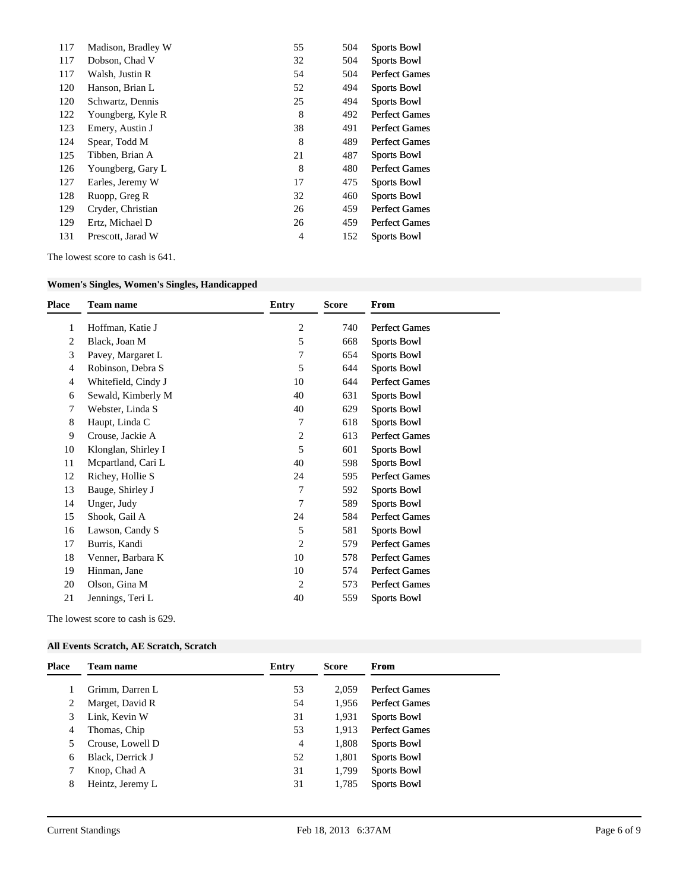| 117 | Madison, Bradley W | 55             | 504 | <b>Sports Bowl</b>   |
|-----|--------------------|----------------|-----|----------------------|
| 117 | Dobson, Chad V     | 32             | 504 | <b>Sports Bowl</b>   |
| 117 | Walsh, Justin R    | 54             | 504 | <b>Perfect Games</b> |
| 120 | Hanson, Brian L    | 52             | 494 | <b>Sports Bowl</b>   |
| 120 | Schwartz, Dennis   | 25             | 494 | <b>Sports Bowl</b>   |
| 122 | Youngberg, Kyle R  | 8              | 492 | <b>Perfect Games</b> |
| 123 | Emery, Austin J    | 38             | 491 | <b>Perfect Games</b> |
| 124 | Spear, Todd M      | 8              | 489 | <b>Perfect Games</b> |
| 125 | Tibben, Brian A    | 21             | 487 | <b>Sports Bowl</b>   |
| 126 | Youngberg, Gary L  | 8              | 480 | <b>Perfect Games</b> |
| 127 | Earles, Jeremy W   | 17             | 475 | <b>Sports Bowl</b>   |
| 128 | Ruopp, Greg R      | 32             | 460 | <b>Sports Bowl</b>   |
| 129 | Cryder, Christian  | 26             | 459 | <b>Perfect Games</b> |
| 129 | Ertz, Michael D    | 26             | 459 | <b>Perfect Games</b> |
| 131 | Prescott, Jarad W  | $\overline{4}$ | 152 | <b>Sports Bowl</b>   |

The lowest score to cash is 641.

## **Women's Singles, Women's Singles, Handicapped**

| Place | <b>Team name</b>    | <b>Entry</b>   | <b>Score</b> | <b>From</b>          |
|-------|---------------------|----------------|--------------|----------------------|
| 1     | Hoffman, Katie J    | $\overline{2}$ | 740          | <b>Perfect Games</b> |
| 2     | Black, Joan M       | 5              | 668          | <b>Sports Bowl</b>   |
| 3     | Pavey, Margaret L   | 7              | 654          | Sports Bowl          |
| 4     | Robinson, Debra S   | 5              | 644          | <b>Sports Bowl</b>   |
| 4     | Whitefield, Cindy J | 10             | 644          | <b>Perfect Games</b> |
| 6     | Sewald, Kimberly M  | 40             | 631          | <b>Sports Bowl</b>   |
| 7     | Webster, Linda S    | 40             | 629          | Sports Bowl          |
| 8     | Haupt, Linda C      | 7              | 618          | <b>Sports Bowl</b>   |
| 9     | Crouse, Jackie A    | 2              | 613          | <b>Perfect Games</b> |
| 10    | Klonglan, Shirley I | 5              | 601          | <b>Sports Bowl</b>   |
| 11    | Mcpartland, Cari L  | 40             | 598          | <b>Sports Bowl</b>   |
| 12    | Richey, Hollie S    | 24             | 595          | <b>Perfect Games</b> |
| 13    | Bauge, Shirley J    | 7              | 592          | <b>Sports Bowl</b>   |
| 14    | Unger, Judy         | 7              | 589          | <b>Sports Bowl</b>   |
| 15    | Shook, Gail A       | 24             | 584          | <b>Perfect Games</b> |
| 16    | Lawson, Candy S     | 5              | 581          | <b>Sports Bowl</b>   |
| 17    | Burris, Kandi       | 2              | 579          | <b>Perfect Games</b> |
| 18    | Venner, Barbara K   | 10             | 578          | <b>Perfect Games</b> |
| 19    | Hinman, Jane        | 10             | 574          | <b>Perfect Games</b> |
| 20    | Olson, Gina M       | 2              | 573          | <b>Perfect Games</b> |
| 21    | Jennings, Teri L    | 40             | 559          | <b>Sports Bowl</b>   |
|       |                     |                |              |                      |

The lowest score to cash is 629.

### **All Events Scratch, AE Scratch, Scratch**

| Place | Team name        | Entry | <b>Score</b> | <b>From</b>          |
|-------|------------------|-------|--------------|----------------------|
|       | Grimm, Darren L  | 53    | 2.059        | <b>Perfect Games</b> |
| 2     | Marget, David R  | 54    | 1.956        | <b>Perfect Games</b> |
| 3     | Link, Kevin W    | 31    | 1,931        | <b>Sports Bowl</b>   |
| 4     | Thomas, Chip     | 53    | 1.913        | <b>Perfect Games</b> |
|       | Crouse, Lowell D | 4     | 1,808        | <b>Sports Bowl</b>   |
| 6     | Black, Derrick J | 52    | 1,801        | <b>Sports Bowl</b>   |
|       | Knop, Chad A     | 31    | 1,799        | <b>Sports Bowl</b>   |
| 8     | Heintz, Jeremy L | 31    | 1,785        | <b>Sports Bowl</b>   |
|       |                  |       |              |                      |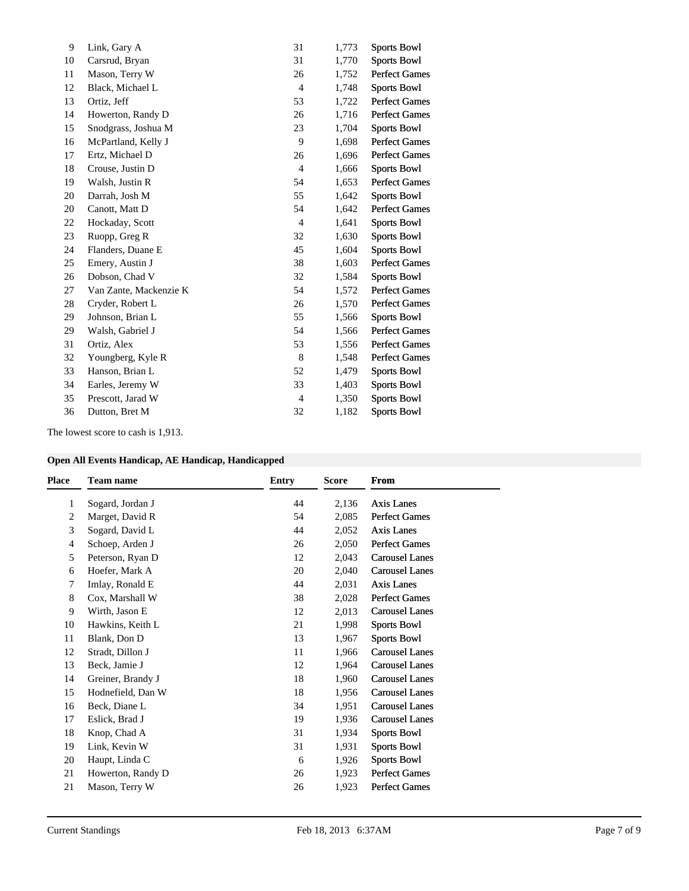| Link, Gary A           | 31             | 1,773 | <b>Sports Bowl</b>   |
|------------------------|----------------|-------|----------------------|
| Carsrud, Bryan         | 31             | 1,770 | <b>Sports Bowl</b>   |
| Mason, Terry W         | 26             | 1,752 | <b>Perfect Games</b> |
| Black, Michael L       | $\overline{4}$ | 1,748 | <b>Sports Bowl</b>   |
| Ortiz, Jeff            | 53             | 1,722 | <b>Perfect Games</b> |
| Howerton, Randy D      | 26             | 1,716 | <b>Perfect Games</b> |
| Snodgrass, Joshua M    | 23             | 1,704 | <b>Sports Bowl</b>   |
| McPartland, Kelly J    | 9              | 1,698 | <b>Perfect Games</b> |
| Ertz, Michael D        | 26             | 1,696 | <b>Perfect Games</b> |
| Crouse, Justin D       | $\overline{4}$ | 1,666 | <b>Sports Bowl</b>   |
| Walsh, Justin R        | 54             | 1,653 | <b>Perfect Games</b> |
| Darrah, Josh M         | 55             | 1,642 | <b>Sports Bowl</b>   |
| Canott, Matt D         | 54             | 1,642 | <b>Perfect Games</b> |
| Hockaday, Scott        | $\overline{4}$ | 1,641 | <b>Sports Bowl</b>   |
| Ruopp, Greg R          | 32             | 1,630 | <b>Sports Bowl</b>   |
| Flanders, Duane E      | 45             | 1,604 | <b>Sports Bowl</b>   |
| Emery, Austin J        | 38             | 1,603 | <b>Perfect Games</b> |
| Dobson, Chad V         | 32             | 1,584 | <b>Sports Bowl</b>   |
| Van Zante, Mackenzie K | 54             | 1,572 | <b>Perfect Games</b> |
| Cryder, Robert L       | 26             | 1,570 | <b>Perfect Games</b> |
| Johnson, Brian L       | 55             | 1,566 | <b>Sports Bowl</b>   |
| Walsh, Gabriel J       | 54             | 1,566 | <b>Perfect Games</b> |
| Ortiz, Alex            | 53             | 1,556 | <b>Perfect Games</b> |
| Youngberg, Kyle R      | 8              | 1,548 | <b>Perfect Games</b> |
| Hanson, Brian L        | 52             | 1,479 | <b>Sports Bowl</b>   |
| Earles, Jeremy W       | 33             | 1,403 | <b>Sports Bowl</b>   |
| Prescott, Jarad W      | $\overline{4}$ | 1,350 | <b>Sports Bowl</b>   |
| Dutton, Bret M         | 32             | 1,182 | <b>Sports Bowl</b>   |
|                        |                |       |                      |

The lowest score to cash is 1,913.

|  |  | <b>Open All Events Handicap, AE Handicap, Handicapped</b> |  |
|--|--|-----------------------------------------------------------|--|
|  |  |                                                           |  |

| <b>Place</b> | <b>Team name</b>  | Entry | <b>Score</b> | From                  |
|--------------|-------------------|-------|--------------|-----------------------|
| 1            | Sogard, Jordan J  | 44    | 2,136        | Axis Lanes            |
| 2            | Marget, David R   | 54    | 2,085        | <b>Perfect Games</b>  |
| 3            | Sogard, David L   | 44    | 2,052        | <b>Axis Lanes</b>     |
| 4            | Schoep, Arden J   | 26    | 2,050        | <b>Perfect Games</b>  |
| 5            | Peterson, Ryan D  | 12    | 2,043        | <b>Carousel Lanes</b> |
| 6            | Hoefer, Mark A    | 20    | 2,040        | <b>Carousel Lanes</b> |
| 7            | Imlay, Ronald E   | 44    | 2,031        | <b>Axis Lanes</b>     |
| 8            | Cox, Marshall W   | 38    | 2,028        | <b>Perfect Games</b>  |
| 9            | Wirth, Jason E    | 12    | 2,013        | <b>Carousel Lanes</b> |
| 10           | Hawkins, Keith L  | 21    | 1,998        | Sports Bowl           |
| 11           | Blank, Don D      | 13    | 1,967        | Sports Bowl           |
| 12           | Stradt, Dillon J  | 11    | 1,966        | <b>Carousel Lanes</b> |
| 13           | Beck, Jamie J     | 12    | 1,964        | <b>Carousel Lanes</b> |
| 14           | Greiner, Brandy J | 18    | 1,960        | <b>Carousel Lanes</b> |
| 15           | Hodnefield, Dan W | 18    | 1,956        | <b>Carousel Lanes</b> |
| 16           | Beck, Diane L     | 34    | 1,951        | <b>Carousel Lanes</b> |
| 17           | Eslick, Brad J    | 19    | 1,936        | <b>Carousel Lanes</b> |
| 18           | Knop, Chad A      | 31    | 1,934        | Sports Bowl           |
| 19           | Link, Kevin W     | 31    | 1,931        | Sports Bowl           |
| 20           | Haupt, Linda C    | 6     | 1,926        | Sports Bowl           |
| 21           | Howerton, Randy D | 26    | 1,923        | <b>Perfect Games</b>  |
| 21           | Mason, Terry W    | 26    | 1,923        | <b>Perfect Games</b>  |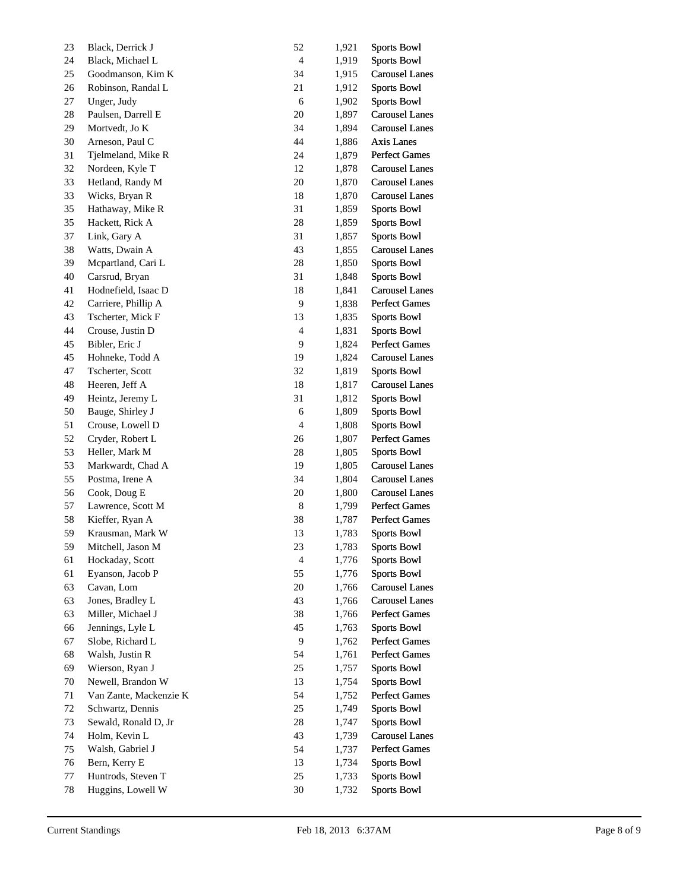| 23 | Black, Derrick J       | 52             | 1,921 | <b>Sports Bowl</b>    |
|----|------------------------|----------------|-------|-----------------------|
| 24 | Black, Michael L       | $\overline{4}$ | 1,919 | <b>Sports Bowl</b>    |
| 25 | Goodmanson, Kim K      | 34             | 1,915 | <b>Carousel Lanes</b> |
| 26 | Robinson, Randal L     | 21             | 1,912 | <b>Sports Bowl</b>    |
| 27 | Unger, Judy            | 6              | 1,902 | <b>Sports Bowl</b>    |
| 28 | Paulsen, Darrell E     | 20             | 1,897 | <b>Carousel Lanes</b> |
| 29 | Mortvedt, Jo K         | 34             | 1,894 | <b>Carousel Lanes</b> |
| 30 | Arneson, Paul C        | 44             | 1,886 | Axis Lanes            |
| 31 | Tjelmeland, Mike R     | 24             | 1,879 | <b>Perfect Games</b>  |
| 32 | Nordeen, Kyle T        | 12             | 1,878 | <b>Carousel Lanes</b> |
| 33 | Hetland, Randy M       | $20\,$         | 1,870 | <b>Carousel Lanes</b> |
| 33 | Wicks, Bryan R         | 18             | 1,870 | <b>Carousel Lanes</b> |
| 35 | Hathaway, Mike R       | 31             | 1,859 | <b>Sports Bowl</b>    |
| 35 | Hackett, Rick A        | $28\,$         | 1,859 | <b>Sports Bowl</b>    |
| 37 | Link, Gary A           | 31             | 1,857 | <b>Sports Bowl</b>    |
| 38 | Watts, Dwain A         | 43             | 1,855 | <b>Carousel Lanes</b> |
| 39 | Mcpartland, Cari L     | $28\,$         | 1,850 | <b>Sports Bowl</b>    |
| 40 | Carsrud, Bryan         | 31             | 1,848 | <b>Sports Bowl</b>    |
| 41 | Hodnefield, Isaac D    | 18             | 1,841 | <b>Carousel Lanes</b> |
| 42 | Carriere, Phillip A    | 9              | 1,838 | <b>Perfect Games</b>  |
| 43 | Tscherter, Mick F      | 13             | 1,835 | <b>Sports Bowl</b>    |
| 44 | Crouse, Justin D       | $\overline{4}$ | 1,831 | <b>Sports Bowl</b>    |
| 45 | Bibler, Eric J         | 9              | 1,824 | <b>Perfect Games</b>  |
| 45 | Hohneke, Todd A        | 19             | 1,824 | <b>Carousel Lanes</b> |
| 47 | Tscherter, Scott       | 32             | 1,819 | <b>Sports Bowl</b>    |
| 48 | Heeren, Jeff A         | 18             | 1,817 | <b>Carousel Lanes</b> |
| 49 | Heintz, Jeremy L       | 31             | 1,812 | <b>Sports Bowl</b>    |
| 50 | Bauge, Shirley J       | 6              | 1,809 | <b>Sports Bowl</b>    |
| 51 | Crouse, Lowell D       | $\overline{4}$ | 1,808 | <b>Sports Bowl</b>    |
| 52 | Cryder, Robert L       | 26             | 1,807 | <b>Perfect Games</b>  |
| 53 | Heller, Mark M         | 28             | 1,805 | <b>Sports Bowl</b>    |
| 53 | Markwardt, Chad A      | 19             | 1,805 | <b>Carousel Lanes</b> |
| 55 | Postma, Irene A        | 34             | 1,804 | <b>Carousel Lanes</b> |
| 56 | Cook, Doug E           | 20             | 1,800 | <b>Carousel Lanes</b> |
| 57 | Lawrence, Scott M      | 8              | 1,799 | Perfect Games         |
| 58 | Kieffer, Ryan A        | 38             | 1,787 | <b>Perfect Games</b>  |
| 59 | Krausman, Mark W       | 13             | 1,783 | <b>Sports Bowl</b>    |
| 59 | Mitchell, Jason M      | 23             | 1,783 | Sports Bowl           |
| 61 | Hockaday, Scott        | $\overline{4}$ | 1,776 | <b>Sports Bowl</b>    |
| 61 | Eyanson, Jacob P       | 55             | 1,776 | <b>Sports Bowl</b>    |
| 63 | Cavan, Lom             | $20\,$         | 1,766 | <b>Carousel Lanes</b> |
| 63 | Jones, Bradley L       | 43             | 1,766 | <b>Carousel Lanes</b> |
| 63 | Miller, Michael J      | 38             | 1,766 | <b>Perfect Games</b>  |
| 66 | Jennings, Lyle L       | 45             | 1,763 | <b>Sports Bowl</b>    |
| 67 | Slobe, Richard L       | 9              | 1,762 | <b>Perfect Games</b>  |
| 68 | Walsh, Justin R        | 54             | 1,761 | <b>Perfect Games</b>  |
| 69 | Wierson, Ryan J        | $25\,$         | 1,757 | <b>Sports Bowl</b>    |
| 70 | Newell, Brandon W      | 13             | 1,754 | <b>Sports Bowl</b>    |
| 71 | Van Zante, Mackenzie K | 54             | 1,752 | <b>Perfect Games</b>  |
| 72 | Schwartz, Dennis       | $25\,$         | 1,749 | <b>Sports Bowl</b>    |
| 73 | Sewald, Ronald D, Jr   | 28             | 1,747 | <b>Sports Bowl</b>    |
| 74 | Holm, Kevin L          | 43             | 1,739 | <b>Carousel Lanes</b> |
| 75 | Walsh, Gabriel J       | 54             | 1,737 | <b>Perfect Games</b>  |
| 76 | Bern, Kerry E          | 13             | 1,734 | <b>Sports Bowl</b>    |
| 77 | Huntrods, Steven T     | $25\,$         | 1,733 | <b>Sports Bowl</b>    |
| 78 | Huggins, Lowell W      | $30\,$         | 1,732 | <b>Sports Bowl</b>    |
|    |                        |                |       |                       |